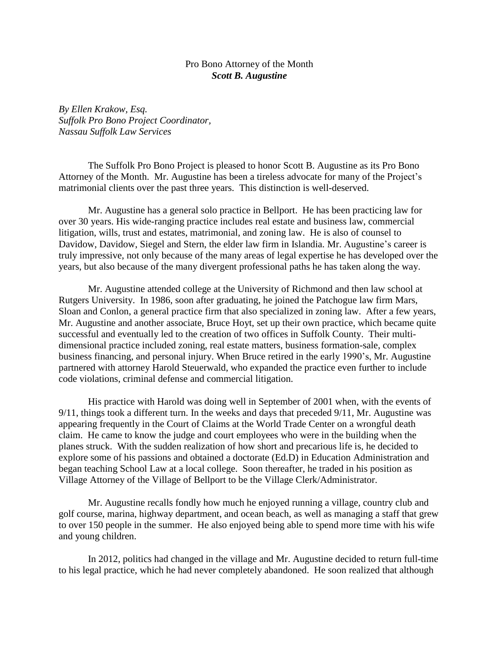## Pro Bono Attorney of the Month *Scott B. Augustine*

*By Ellen Krakow, Esq. Suffolk Pro Bono Project Coordinator, Nassau Suffolk Law Services*

The Suffolk Pro Bono Project is pleased to honor Scott B. Augustine as its Pro Bono Attorney of the Month. Mr. Augustine has been a tireless advocate for many of the Project's matrimonial clients over the past three years. This distinction is well-deserved.

Mr. Augustine has a general solo practice in Bellport. He has been practicing law for over 30 years. His wide-ranging practice includes real estate and business law, commercial litigation, wills, trust and estates, matrimonial, and zoning law. He is also of counsel to Davidow, Davidow, Siegel and Stern, the elder law firm in Islandia. Mr. Augustine's career is truly impressive, not only because of the many areas of legal expertise he has developed over the years, but also because of the many divergent professional paths he has taken along the way.

Mr. Augustine attended college at the University of Richmond and then law school at Rutgers University. In 1986, soon after graduating, he joined the Patchogue law firm Mars, Sloan and Conlon, a general practice firm that also specialized in zoning law. After a few years, Mr. Augustine and another associate, Bruce Hoyt, set up their own practice, which became quite successful and eventually led to the creation of two offices in Suffolk County. Their multidimensional practice included zoning, real estate matters, business formation-sale, complex business financing, and personal injury. When Bruce retired in the early 1990's, Mr. Augustine partnered with attorney Harold Steuerwald, who expanded the practice even further to include code violations, criminal defense and commercial litigation.

His practice with Harold was doing well in September of 2001 when, with the events of 9/11, things took a different turn. In the weeks and days that preceded 9/11, Mr. Augustine was appearing frequently in the Court of Claims at the World Trade Center on a wrongful death claim. He came to know the judge and court employees who were in the building when the planes struck. With the sudden realization of how short and precarious life is, he decided to explore some of his passions and obtained a doctorate (Ed.D) in Education Administration and began teaching School Law at a local college. Soon thereafter, he traded in his position as Village Attorney of the Village of Bellport to be the Village Clerk/Administrator.

Mr. Augustine recalls fondly how much he enjoyed running a village, country club and golf course, marina, highway department, and ocean beach, as well as managing a staff that grew to over 150 people in the summer. He also enjoyed being able to spend more time with his wife and young children.

In 2012, politics had changed in the village and Mr. Augustine decided to return full-time to his legal practice, which he had never completely abandoned. He soon realized that although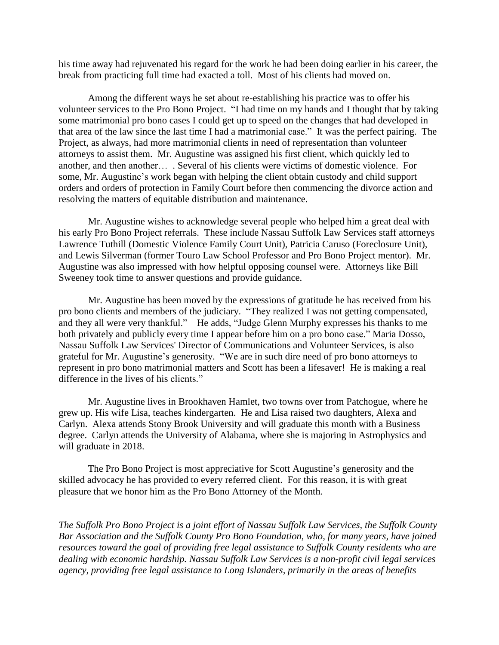his time away had rejuvenated his regard for the work he had been doing earlier in his career, the break from practicing full time had exacted a toll. Most of his clients had moved on.

Among the different ways he set about re-establishing his practice was to offer his volunteer services to the Pro Bono Project. "I had time on my hands and I thought that by taking some matrimonial pro bono cases I could get up to speed on the changes that had developed in that area of the law since the last time I had a matrimonial case." It was the perfect pairing. The Project, as always, had more matrimonial clients in need of representation than volunteer attorneys to assist them. Mr. Augustine was assigned his first client, which quickly led to another, and then another… . Several of his clients were victims of domestic violence. For some, Mr. Augustine's work began with helping the client obtain custody and child support orders and orders of protection in Family Court before then commencing the divorce action and resolving the matters of equitable distribution and maintenance.

Mr. Augustine wishes to acknowledge several people who helped him a great deal with his early Pro Bono Project referrals. These include Nassau Suffolk Law Services staff attorneys Lawrence Tuthill (Domestic Violence Family Court Unit), Patricia Caruso (Foreclosure Unit), and Lewis Silverman (former Touro Law School Professor and Pro Bono Project mentor). Mr. Augustine was also impressed with how helpful opposing counsel were. Attorneys like Bill Sweeney took time to answer questions and provide guidance.

Mr. Augustine has been moved by the expressions of gratitude he has received from his pro bono clients and members of the judiciary. "They realized I was not getting compensated, and they all were very thankful." He adds, "Judge Glenn Murphy expresses his thanks to me both privately and publicly every time I appear before him on a pro bono case." Maria Dosso, Nassau Suffolk Law Services' Director of Communications and Volunteer Services, is also grateful for Mr. Augustine's generosity. "We are in such dire need of pro bono attorneys to represent in pro bono matrimonial matters and Scott has been a lifesaver! He is making a real difference in the lives of his clients."

Mr. Augustine lives in Brookhaven Hamlet, two towns over from Patchogue, where he grew up. His wife Lisa, teaches kindergarten. He and Lisa raised two daughters, Alexa and Carlyn. Alexa attends Stony Brook University and will graduate this month with a Business degree. Carlyn attends the University of Alabama, where she is majoring in Astrophysics and will graduate in 2018.

The Pro Bono Project is most appreciative for Scott Augustine's generosity and the skilled advocacy he has provided to every referred client. For this reason, it is with great pleasure that we honor him as the Pro Bono Attorney of the Month.

*The Suffolk Pro Bono Project is a joint effort of Nassau Suffolk Law Services, the Suffolk County Bar Association and the Suffolk County Pro Bono Foundation, who, for many years, have joined resources toward the goal of providing free legal assistance to Suffolk County residents who are dealing with economic hardship. Nassau Suffolk Law Services is a non-profit civil legal services agency, providing free legal assistance to Long Islanders, primarily in the areas of benefits*